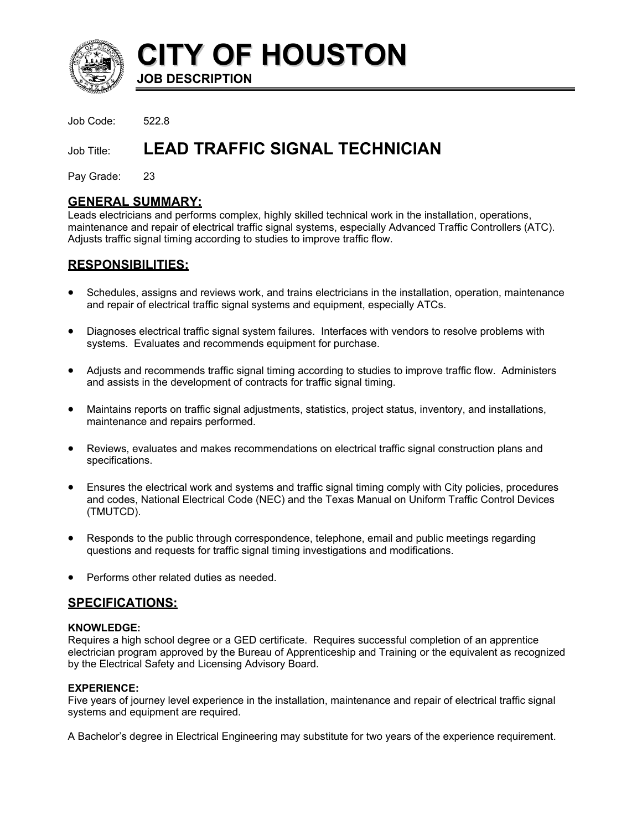

**CITY OF HOUSTON JOB DESCRIPTION** 

Job Code: 522.8

# Job Title: LEAD TRAFFIC SIGNAL TECHNICIAN

Pay Grade: 23

### **GENERAL SUMMARY:**

Leads electricians and performs complex, highly skilled technical work in the installation, operations, maintenance and repair of electrical traffic signal systems, especially Advanced Traffic Controllers (ATC). Adjusts traffic signal timing according to studies to improve traffic flow.

### **RESPONSIBILITIES:**

- Schedules, assigns and reviews work, and trains electricians in the installation, operation, maintenance and repair of electrical traffic signal systems and equipment, especially ATCs.
- $\bullet$ Diagnoses electrical traffic signal system failures. Interfaces with vendors to resolve problems with systems. Evaluates and recommends equipment for purchase.
- Adjusts and recommends traffic signal timing according to studies to improve traffic flow. Administers and assists in the development of contracts for traffic signal timing.
- Maintains reports on traffic signal adjustments, statistics, project status, inventory, and installations, maintenance and repairs performed.
- Reviews, evaluates and makes recommendations on electrical traffic signal construction plans and specifications.
- Ensures the electrical work and systems and traffic signal timing comply with City policies, procedures and codes, National Electrical Code (NEC) and the Texas Manual on Uniform Traffic Control Devices (TMUTCD).
- Responds to the public through correspondence, telephone, email and public meetings regarding questions and requests for traffic signal timing investigations and modifications.
- Performs other related duties as needed.

### **SPECIFICATIONS:**

#### **KNOWLEDGE:**

Requires a high school degree or a GED certificate. Requires successful completion of an apprentice electrician program approved by the Bureau of Apprenticeship and Training or the equivalent as recognized by the Electrical Safety and Licensing Advisory Board.

#### **EXPERIENCE:**

Five years of journey level experience in the installation, maintenance and repair of electrical traffic signal systems and equipment are required.

A Bachelor's degree in Electrical Engineering may substitute for two years of the experience requirement.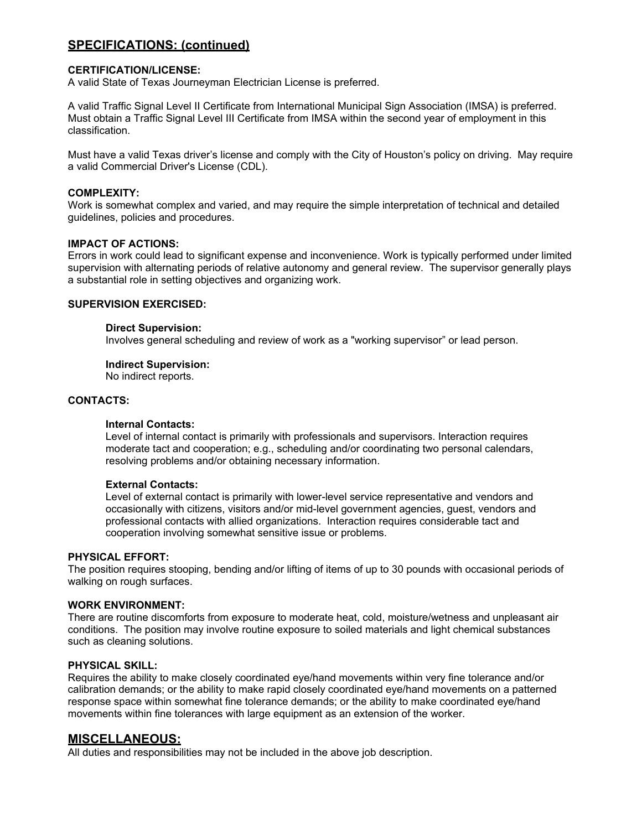### **SPECIFICATIONS: (continued)**

#### **CERTIFICATION/LICENSE:**

A valid State of Texas Journeyman Electrician License is preferred.

A valid Traffic Signal Level II Certificate from International Municipal Sign Association (IMSA) is preferred. Must obtain a Traffic Signal Level III Certificate from IMSA within the second year of employment in this classification.

Must have a valid Texas driver's license and comply with the City of Houston's policy on driving. May require a valid Commercial Driver's License (CDL).

#### **COMPLEXITY:**

Work is somewhat complex and varied, and may require the simple interpretation of technical and detailed guidelines, policies and procedures.

#### **IMPACT OF ACTIONS:**

Errors in work could lead to significant expense and inconvenience. Work is typically performed under limited supervision with alternating periods of relative autonomy and general review. The supervisor generally plays a substantial role in setting objectives and organizing work.

#### **SUPERVISION EXERCISED:**

#### **Direct Supervision:**

Involves general scheduling and review of work as a "working supervisor" or lead person.

#### **Indirect Supervision:**

No indirect reports.

#### **CONTACTS:**

#### **Internal Contacts:**

Level of internal contact is primarily with professionals and supervisors. Interaction requires moderate tact and cooperation; e.g., scheduling and/or coordinating two personal calendars, resolving problems and/or obtaining necessary information.

#### **External Contacts:**

Level of external contact is primarily with lower-level service representative and vendors and occasionally with citizens, visitors and/or mid-level government agencies, guest, vendors and professional contacts with allied organizations. Interaction requires considerable tact and cooperation involving somewhat sensitive issue or problems.

#### **PHYSICAL EFFORT:**

The position requires stooping, bending and/or lifting of items of up to 30 pounds with occasional periods of walking on rough surfaces.

#### **WORK ENVIRONMENT:**

There are routine discomforts from exposure to moderate heat, cold, moisture/wetness and unpleasant air conditions. The position may involve routine exposure to soiled materials and light chemical substances such as cleaning solutions.

#### **PHYSICAL SKILL:**

Requires the ability to make closely coordinated eye/hand movements within very fine tolerance and/or calibration demands; or the ability to make rapid closely coordinated eye/hand movements on a patterned response space within somewhat fine tolerance demands; or the ability to make coordinated eye/hand movements within fine tolerances with large equipment as an extension of the worker.

### **MISCELLANEOUS:**

All duties and responsibilities may not be included in the above job description.